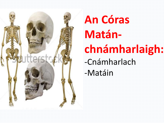

# **An Córas Matán-**

# **chnámharlaigh:**

#### -Cnámharlach

-Matáin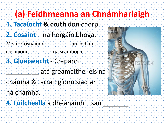# **(a) Feidhmeanna an Chnámharlaigh**

- **1. Tacaíocht & cruth** don chorp
- **2. Cosaint** na horgáin bhoga.
- M.sh.: Cosnaíonn \_\_\_\_\_\_\_\_\_\_ an inchinn,
- cosnaíonn \_\_\_\_\_\_\_\_ na scamhóga
- **3. Gluaiseacht** Crapann
	- \_\_\_\_\_\_\_\_\_ atá greamaithe leis na
- cnámha & tarraingíonn siad ar
- na cnámha.
- 4. Fuilchealla a dhéanamh san

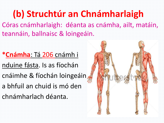# **(b) Struchtúr an Chnámharlaigh**

Córas cnámharlaigh: déanta as cnámha, ailt, matáin, teannáin, ballnaisc & loingeáin.

**\*Cnámha**: Tá 206 cnámh i nduine fásta. Is as fíochán

cnáimhe & fíochán loingeáin

a bhfuil an chuid is mó den

chnámharlach déanta.

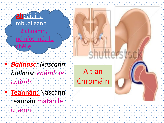

- *Ballnasc: Nascann ballnasc cnámh le cnámh*
- **Teannán**: Nascann teannán matán le cnámh

#### Alt an Chromáin

shutterstr.c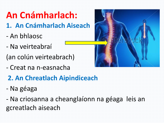# **An Cnámharlach:**

- **1. An Cnámharlach Aiseach**
- An bhlaosc
- Na veirteabraí
- (an colún veirteabrach)
- Creat na n-easnacha
- **2. An Chreatlach Aipindiceach**
- Na géaga

- Na criosanna a cheanglaíonn na géaga leis an gcreatlach aiseach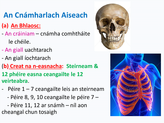#### **An Cnámharlach Aiseach**

#### **(a) An Bhlaosc:**

- An cráiniam cnámha comhtháite
	- le chéile.
- An giall uachtarach
- An giall íochtarach
- (**b) Creat na n-easnacha: Steirneam &**
- **12 phéire easna ceangailte le 12 veirteabra**.
- Péire 1 7 ceangailte leis an steirneam
	- $-$  Péire 8, 9, 10 ceangailte le péire 7 –
- Péire 11, 12 ar snámh níl aon
- cheangal chun tosaigh



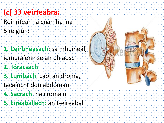#### **(c) 33 veirteabra:**

Roinntear na cnámha ina

5 réigiún:

**1. Ceirbheasach**: sa mhuineál, iompraíonn sé an bhlaosc

**2. Tóracsach**

**3. Lumbach**: caol an droma, tacaíocht don abdóman

**4. Sacrach**: na cromáin

**5. Eireaballach**: an t-eireaball

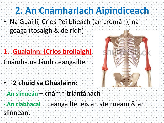# **2. An Cnámharlach Aipindiceach**

• Na Guaillí, Crios Peilbheach (an cromán), na géaga (tosaigh & deiridh)

- **1. Gualainn: (Crios brollaigh)**
- Cnámha na lámh ceangailte

- **2 chuid sa Ghualainn:**
- **- An slinneán** cnámh triantánach
- **- An clabhacal** ceangailte leis an steirneam & an slinneán.

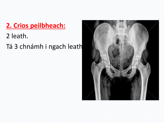#### **2. Crios peilbheach:**

#### 2 leath.

Tá 3 chnámh i ngach leath

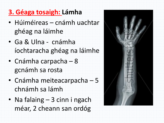#### **3. Géaga tosaigh: Lámha**

- Húiméireas cnámh uachtar ghéag na láimhe
- Ga & Ulna cnámha íochtaracha ghéag na láimhe
- Cnámha carpacha 8 gcnámh sa rosta
- Cnámha meiteacarpacha 5 chnámh sa lámh
- Na falaing 3 cinn i ngach méar, 2 cheann san ordóg

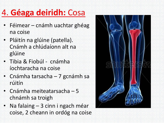# 4. **Géaga deiridh:** Cosa

- Féimear cnámh uachtar ghéag na coise
- Pláitín na glúine (patella). Cnámh a chlúdaíonn alt na glúine
- Tibia & Fiobúl cnámha íochtaracha na coise
- Cnámha tarsacha 7 gcnámh sa rúitín
- Cnámha meiteatarsacha 5 chnámh sa troigh
- Na falaing 3 cinn i ngach méar coise, 2 cheann in ordóg na coise

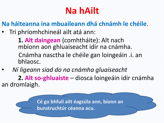# **Na hAilt**

**Na háiteanna ina mbuaileann dhá chnámh le chéile**.

- Trí phríomhchineál ailt atá ann:
	- **1. Alt daingean** (comhtháite): Alt nach mbíonn aon ghluaiseacht idir na cnámha. Cnámha nasctha le chéile gan loingeáin .i. an bhlaosc.
- *Ní ligeann siad do na cnámha gluaiseacht* **2. Alt so-ghluaiste** – diosca loingeáin idir cnámha an dromlaigh.



**Cé go bhfuil ailt éagsúla ann, bíonn an bunstruchtúr céanna acu.**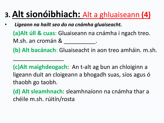### **3. Alt sionóibhiach:** Alt a ghluaiseann **(4)**

• *Ligeann na hailt seo do na cnámha gluaiseacht.*

\_\_\_\_\_\_\_\_\_\_\_\_\_\_\_\_

- **(a)Alt úll & cuas**: Gluaiseann na cnámha i ngach treo. M.sh. an cromán & **\_\_\_\_\_\_\_\_\_\_**.
- **(b) Alt bacánach**: Gluaiseacht in aon treo amháin. m.sh.
- **(c)Alt maighdeogach**: An t-alt ag bun an chloiginn a ligeann duit an cloigeann a bhogadh suas, síos agus ó thaobh go taobh.
- **(d) Alt sleamhnach**: sleamhnaíonn na cnámha thar a chéile m.sh. rúitín/rosta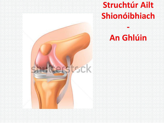# **Struchtúr Ailt Shionóibhiach**

#### **An Ghlúin**

**-**

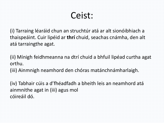

(i) Tarraing léaráid chun an struchtúr atá ar alt sionóibhiach a thaispeáint. Cuir lipéid ar **thrí** chuid, seachas cnámha, den alt atá tarraingthe agat.

(ii) Mínigh feidhmeanna na dtrí chuid a bhfuil lipéad curtha agat orthu.

(iii) Ainmnigh neamhord den chóras matánchnámharlaigh.

(iv) Tabhair cúis a d'fhéadfadh a bheith leis an neamhord atá ainmnithe agat in (iii) agus mol cóireáil dó.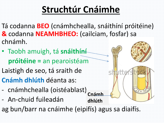# **Struchtúr Cnáimhe**

- Tá codanna **BEO** (cnámhchealla, snáithíní próitéine) **&** codanna **NEAMHBHEO:** (cailciam, fosfar) sa chnámh.
- Taobh amuigh, tá **snáithíní próitéine =** an pearoistéam
- Laistigh de seo, tá sraith de
- **Cnámh dhlúth** déanta as:
- cnámhchealla (oistéablast)
- An-chuid fuileadán
- ag bun/barr na cnáimhe (eipifís) agus sa diaifís.

**Cnámh**

**dhlúth**

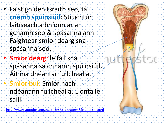• Laistigh den tsraith seo, tá **cnámh spúinsiúil**: Struchtúr laitíseach a bhíonn ar an gcnámh seo & spásanna ann. Faightear smior dearg sna spásanna seo.

• **Smior dearg**: le fáil sna spásanna sa chnámh spúinsiúil. Áit ina dhéantar fuilchealla. • **Smior buí**: Smior nach ndéanann fuilchealla. Líonta le

saill.

<http://www.youtube.com/watch?v=8d-RBe8JBVs&feature=related>

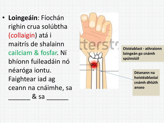• **Loingeáin**: Fíochán righin crua solúbtha (collaigin) atá i maitrís de s hala inn cailciam & fosfar. Ní bhíonn fuileadáin nó néaróga iontu. Faightear iad ag ceann na cnáimhe, sa  $\&$  sa  $\&$ 



**C** 

 $\sqrt{2}$ 

**Déanann na hoistéablastaí cnámh dhlúth anseo**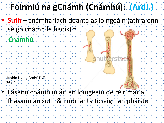### **Foirmiú na gCnámh (Cnámhú): (Ardl.)**

#### • **Suth** – cnámharlach déanta as loingeáin (athraíonn sé go cnámh le haois) =

**Cnámhú**



• Fásann cnámh in áit an loingeáin de réir mar a fhásann an suth & i mblianta tosaigh an pháiste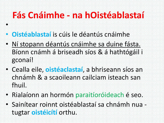# **Fás Cnáimhe - na hOistéablastaí**

• **Oistéablastaí** is cúis le déantús cnáimhe

•

- Ní stopann déantús cnáimhe sa duine fásta. Bíonn cnámh á briseadh síos & á hathtógáil i gconaí!
- Cealla eile, **oistéaclastaí**, a bhriseann síos an chnámh & a scaoileann cailciam isteach san fhuil.
- Rialaíonn an hormón paraitíoróideach é seo.
- Sainítear roinnt oistéablastaí sa chnámh nua tugtar **oistéicítí** orthu.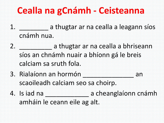# **Cealla na gCnámh - Ceisteanna**

1. **a** thugtar ar na cealla a leagann síos

cnámh nua.

- 2. **\_\_\_\_\_\_\_\_\_\_\_** a thugtar ar na cealla a bhriseann síos an chnámh nuair a bhíonn gá le breis calciam sa sruth fola.
- 3. Rialaíonn an hormón \_\_\_\_\_\_\_\_\_\_\_\_\_\_ an scaoileadh calciam seo sa choirp.
- 4. Is iad na Leanglaíonn cnámh amháin le ceann eile ag alt.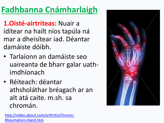# **Fadhbanna Cnámharlaigh**

**1.Oisté-airtríteas:** Nuair a ídítear na hailt níos tapúla ná mar a dheisítear iad. Déantar damáiste dóibh.

- Tarlaíonn an damáiste seo uaireanta de bharr galar uathimdhíonach
- Réiteach: déantar athsholáthar bréagach ar an alt atá caite. m.sh. sa chromán.

[http://video.about.com/arthritis/Chronic-](http://video.about.com/arthritis/Chronic-Rheumatism-Hand.htm)Rheumatism-Hand.htm

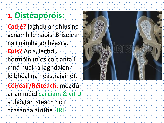#### **2. Oistéapóróis**:

**Cad é?** laghdú ar dhlús na gcnámh le haois. Briseann na cnámha go héasca. **Cúis?** Aois, laghdú hormóin (níos coitianta i mná nuair a laghdaíonn leibhéal na héastraigine).

**Cóireáil/Réiteach:** méadú ar an méid cailciam & vit D a thógtar isteach nó i gcásanna áirithe HRT.

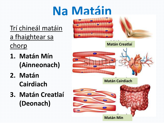# **Na Matáin**

Trí chineál matáin a fhaightear sa chorp

**1. Matán Mín (Ainneonach)**

**2. Matán Cairdiach**

**3. Matán Creatlaí (Deonach)**



**Matán Creatlaí**

**Matán Cairdiach**

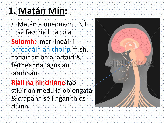# **1. Matán Mín:**

• Matán ainneonach; NÍL sé faoi riail na tola

**Suíomh:** mar líneáil i bhfeadáin an choirp m.sh. conair an bhia, artairí & féitheanna, agus an lamhnán

#### **Riail na hInchinne** faoi

stiúir an medulla oblongata & crapann sé i ngan fhios dúinn

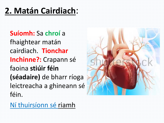#### **2. Matán Cairdiach**:

**Suíomh:** Sa **chroí** a fhaightear matán cairdiach. **Tionchar Inchinne?:** Crapann sé faoina **stiúir féin (séadaire)** de bharr ríoga leictreacha a ghineann sé féin.

Ní thuirsíonn sé riamh

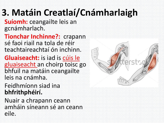# **3. Matáin Creatlaí/Cnámharlaigh**

**Suíomh:** ceangailte leis an gcnámharlach.

**Tionchar Inchinne?:** crapann sé faoi riail na tola de réir teachtaireachtaí ón inchinn.

**Gluaiseacht:** is iad is cúis le gluaiseacht an choirp toisc go bhfuil na matáin ceangailte leis na cnámha.

Feidhmíonn siad ina **bhfrithphéirí.**

Nuair a chrapann ceann amháin síneann sé an ceann eile.

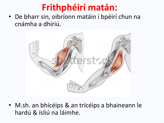# **Frithphéirí matán:**

• De bharr sin, oibríonn matáin i bpéirí chun na cnámha a dhíriú.



• M.sh. an bhícéips & an trícéips a bhaineann le hardú & ísliú na láimhe.